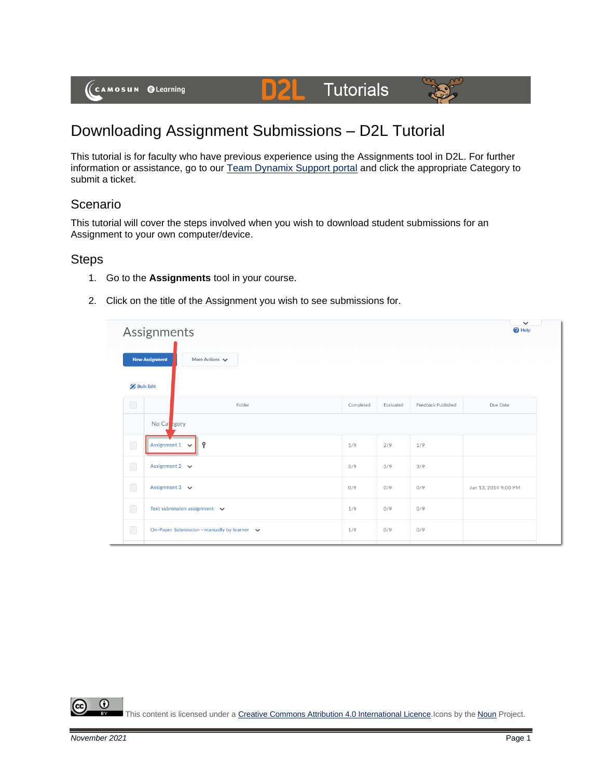

# **Tutorials**



## Downloading Assignment Submissions – D2L Tutorial

DZ

This tutorial is for faculty who have previous experience using the Assignments tool in D2L. For further information or assistance, go to our [Team Dynamix Support portal](https://camosun.teamdynamix.com/TDClient/67/Portal/Requests/ServiceCatalog?CategoryID=523) and click the appropriate Category to submit a ticket.

#### Scenario

This tutorial will cover the steps involved when you wish to download student submissions for an Assignment to your own computer/device.

#### **Steps**

- 1. Go to the **Assignments** tool in your course.
- 2. Click on the title of the Assignment you wish to see submissions for.

| Assignments      |                                                             |           |           |                    |                      |  |  |  |  |  |
|------------------|-------------------------------------------------------------|-----------|-----------|--------------------|----------------------|--|--|--|--|--|
|                  | <b>New Assignment</b><br>More Actions $\blacktriangleright$ |           |           |                    |                      |  |  |  |  |  |
| <b>Bulk Edit</b> |                                                             |           |           |                    |                      |  |  |  |  |  |
| $\bigcirc$       | Folder                                                      | Completed | Evaluated | Feedback Published | Due Date             |  |  |  |  |  |
|                  | No Capegory                                                 |           |           |                    |                      |  |  |  |  |  |
| $\bigcirc$       | Assignment $1 \quad \vee$<br>Ŷ                              | 5/9       | 2/9       | 1/9                |                      |  |  |  |  |  |
| $\Box$           | Assignment 2 $\vee$                                         | 3/9       | 3/9       | 3/9                |                      |  |  |  |  |  |
| $\bigcirc$       | Assignment $3 \quad \vee$                                   | 0/9       | 0/9       | 0/9                | Jun 13, 2014 9:00 PM |  |  |  |  |  |
| $\bigcirc$       | Text submission assignment $\vee$                           | 1/9       | 0/9       | 0/9                |                      |  |  |  |  |  |
| $\bigcirc$       | On-Paper Submission - manually by learner v                 | 1/9       | 0/9       | 0/9                |                      |  |  |  |  |  |

⋒ This content is licensed under [a Creative Commons Attribution 4.0 International Licence.I](https://creativecommons.org/licenses/by/4.0/)cons by the [Noun](https://creativecommons.org/website-icons/) Project.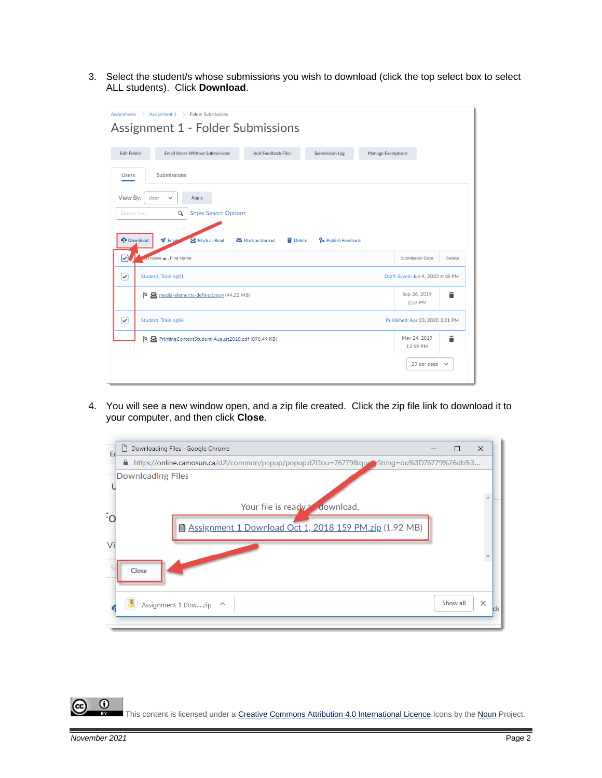3. Select the student/s whose submissions you wish to download (click the top select box to select ALL students). Click **Download**.

| <b>Assignments</b>   | $\rightarrow$ Assignment 1 $\rightarrow$<br><b>Folder Submissions</b><br>Assignment 1 - Folder Submissions |                                  |                                 |  |                               |                                 |  |
|----------------------|------------------------------------------------------------------------------------------------------------|----------------------------------|---------------------------------|--|-------------------------------|---------------------------------|--|
| <b>Edit Folder</b>   | <b>Email Users Without Submissions</b><br><b>Add Feedback Files</b><br><b>Submission Log</b>               |                                  |                                 |  | <b>Manage Exemptions</b>      |                                 |  |
| Users                | Submissions                                                                                                |                                  |                                 |  |                               |                                 |  |
| View By:<br>User     | Apply<br>$\checkmark$                                                                                      |                                  |                                 |  |                               |                                 |  |
| Search For           | <b>Show Search Options</b><br>Q                                                                            |                                  |                                 |  |                               |                                 |  |
| <b>O</b> Download    | Mark as Read<br>$\blacktriangledown$ Email                                                                 | Delete<br>Mark as Unread         | P <sub>o</sub> Publish Feedback |  |                               |                                 |  |
| ?                    | est Name ▲, First Name                                                                                     |                                  |                                 |  | Submission Date               | Delete                          |  |
| $\curvearrowright$   | Student, Training01                                                                                        | Draft Saved: Jun 4, 2020 4:18 PM |                                 |  |                               |                                 |  |
| Þ                    | media-elements-defined.mp4 (44.22 MB)                                                                      |                                  |                                 |  | Sep 26, 2019<br>2:57 PM       | î                               |  |
| $\blacktriangledown$ | Student, Training04                                                                                        |                                  |                                 |  |                               | Published: Apr 23, 2020 3:21 PM |  |
|                      | P PrintingContentStudent-August2018.pdf (898.49 KB)                                                        |                                  |                                 |  | May 24, 2019<br>î<br>12:59 PM |                                 |  |
|                      |                                                                                                            |                                  |                                 |  | 20 per page $\vee$            |                                 |  |

4. You will see a new window open, and a zip file created. Click the zip file link to download it to your computer, and then click **Close**.



 $\odot$ This content is licensed under [a Creative Commons Attribution 4.0 International Licence.I](https://creativecommons.org/licenses/by/4.0/)cons by the [Noun](https://creativecommons.org/website-icons/) Project.